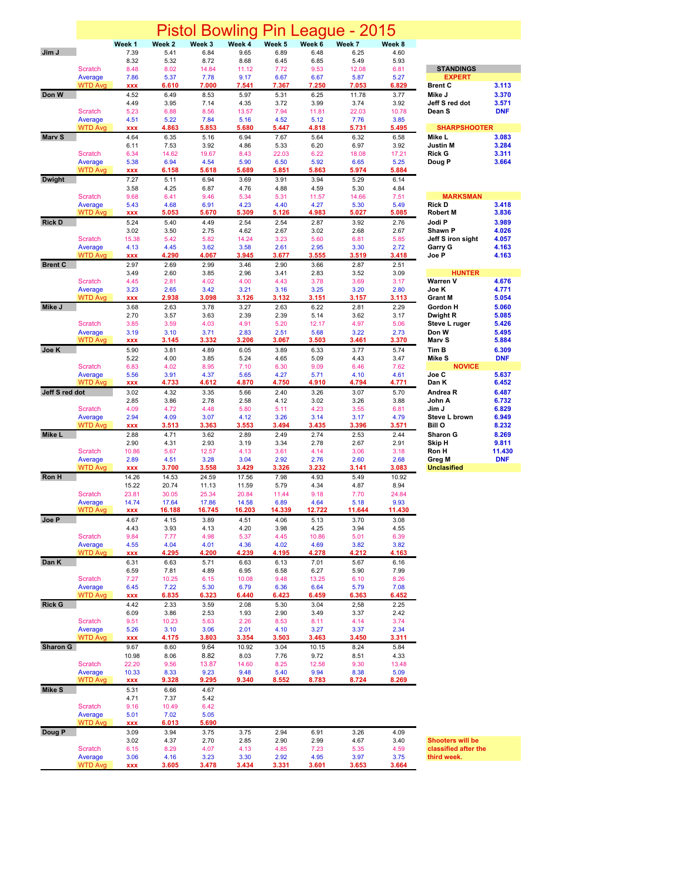|                 |                           |                     |                   |                | <b>Pistol Bowling</b> | Pin           |                | eague - 2015   |               |                                  |                |
|-----------------|---------------------------|---------------------|-------------------|----------------|-----------------------|---------------|----------------|----------------|---------------|----------------------------------|----------------|
|                 |                           | Week 1              | Week <sub>2</sub> | Week 3         | Week 4                | Week 5        | Week 6         | Week 7         | Week 8        |                                  |                |
| Jim J           |                           | 7.39                | 5.41              | 6.84           | 9.65                  | 6.89          | 6.48           | 6.25           | 4.60          |                                  |                |
|                 | <b>Scratch</b>            | 8.32<br>8.48        | 5.32<br>8.02      | 8.72<br>14.84  | 8.68<br>11.12         | 6.45<br>7.72  | 6.85<br>9.53   | 5.49<br>12.08  | 5.93<br>6.81  | <b>STANDINGS</b>                 |                |
|                 | Average                   | 7.86                | 5.37              | 7.78           | 9.17                  | 6.67          | 6.67           | 5.87           | 5.27          | <b>EXPERT</b>                    |                |
| Don W           | <b>WTD Avg</b>            | <b>XXX</b><br>4.52  | 6.610<br>6.49     | 7.000<br>8.53  | 7.541<br>5.97         | 7.367<br>5.31 | 7.250<br>6.25  | 7.053<br>11.78 | 6.829<br>3.77 | <b>Brent C</b><br>Mike J         | 3.113<br>3.370 |
|                 |                           | 4.49                | 3.95              | 7.14           | 4.35                  | 3.72          | 3.99           | 3.74           | 3.92          | Jeff S red dot                   | 3.571          |
|                 | <b>Scratch</b>            | 5.23                | 6.88              | 8.56           | 13.57                 | 7.94          | 11.81          | 22.03          | 10.78         | Dean <sub>S</sub>                | <b>DNF</b>     |
|                 | Average<br><b>WTD Avg</b> | 4.51<br><b>XXX</b>  | 5.22<br>4.863     | 7.84<br>5.853  | 5.16<br>5.680         | 4.52<br>5.447 | 5.12<br>4.818  | 7.76<br>5.731  | 3.85<br>5.495 | <b>SHARPSHOOTER</b>              |                |
| Mary S          |                           | 4.64                | 6.35              | 5.16           | 6.94                  | 7.67          | 5.64           | 6.32           | 6.58          | Mike L                           | 3.083          |
|                 |                           | 6.11                | 7.53              | 3.92           | 4.86                  | 5.33          | 6.20           | 6.97           | 3.92          | Justin M<br><b>Rick G</b>        | 3.284          |
|                 | <b>Scratch</b><br>Average | 6.34<br>5.38        | 14.62<br>6.94     | 19.67<br>4.54  | 8.43<br>5.90          | 22.03<br>6.50 | 6.22<br>5.92   | 18.08<br>6.65  | 17.21<br>5.25 | Doug P                           | 3.311<br>3.664 |
|                 | <b>WTD Avg</b>            | <b>XXX</b>          | 6.158             | 5.618          | 5.689                 | 5.851         | 5.863          | 5.974          | 5.884         |                                  |                |
| <b>Dwight</b>   |                           | 7.27<br>3.58        | 5.11<br>4.25      | 6.94<br>6.87   | 3.69<br>4.76          | 3.91<br>4.88  | 3.94<br>4.59   | 5.29<br>5.30   | 6.14<br>4.84  |                                  |                |
|                 | Scratch                   | 9.68                | 6.41              | 9.46           | 5.34                  | 5.31          | 11.57          | 14.66          | 7.51          | <b>MARKSMAN</b>                  |                |
|                 | Average                   | 5.43                | 4.68              | 6.91           | 4.23                  | 4.40          | 4.27           | 5.30           | 5.49          | <b>Rick D</b>                    | 3.418          |
| <b>Rick D</b>   | <b>WTD Avg</b>            | <b>XXX</b><br>5.24  | 5.053<br>5.40     | 5.670<br>4.49  | 5.309<br>2.54         | 5.126<br>2.54 | 4.983<br>2.87  | 5.027<br>3.92  | 5.085<br>2.76 | <b>Robert M</b><br>Jodi P        | 3.836<br>3.989 |
|                 |                           | 3.02                | 3.50              | 2.75           | 4.62                  | 2.67          | 3.02           | 2.68           | 2.67          | Shawn P                          | 4.026          |
|                 | <b>Scratch</b><br>Average | 15.38<br>4.13       | 5.42<br>4.45      | 5.82<br>3.62   | 14.24<br>3.58         | 3.23<br>2.61  | 5.60<br>2.95   | 6.81<br>3.30   | 5.85<br>2.72  | Jeff S iron sight<br>Garry G     | 4.057<br>4.163 |
|                 | <b>WTD Avg</b>            | <b>XXX</b>          | 4.290             | 4.067          | 3.945                 | 3.677         | 3.555          | 3.519          | 3.418         | Joe P                            | 4.163          |
| <b>Brent C</b>  |                           | 2.97                | 2.69              | 2.99           | 3.46                  | 2.90          | 3.66           | 2.87           | 2.51          |                                  |                |
|                 | Scratch                   | 3.49<br>4.45        | 2.60<br>2.81      | 3.85<br>4.02   | 2.96<br>4.00          | 3.41<br>4.43  | 2.83<br>3.78   | 3.52<br>3.69   | 3.09<br>3.17  | <b>HUNTER</b><br><b>Warren V</b> | 4.676          |
|                 | Average                   | 3.23                | 2.65              | 3.42           | 3.21                  | 3.16          | 3.25           | 3.20           | 2.80          | Joe K                            | 4.771          |
|                 | <b>WTD Avg</b>            | XXX                 | 2.938             | 3.098          | 3.126                 | 3.132         | 3.151          | 3.157          | 3.113         | <b>Grant M</b>                   | 5.054          |
| Mike J          |                           | 3.68<br>2.70        | 2.63<br>3.57      | 3.78<br>3.63   | 3.27<br>2.39          | 2.63<br>2.39  | 6.22<br>5.14   | 2.81<br>3.62   | 2.29<br>3.17  | Gordon H<br>Dwight R             | 5.060<br>5.085 |
|                 | Scratch                   | 3.85                | 3.59              | 4.03           | 4.91                  | 5.20          | 12.17          | 4.97           | 5.06          | Steve L ruger                    | 5.426          |
|                 | Average<br><b>WTD Avg</b> | 3.19<br><b>XXX</b>  | 3.10<br>3.145     | 3.71<br>3.332  | 2.83<br>3.206         | 2.51<br>3.067 | 5.68<br>3.503  | 3.22<br>3.461  | 2.73<br>3.370 | Don W<br>Marv S                  | 5.495<br>5.884 |
| Joe K           |                           | 5.90                | 3.81              | 4.89           | 6.05                  | 3.89          | 6.33           | 3.77           | 5.74          | Tim B                            | 6.309          |
|                 |                           | 5.22                | 4.00              | 3.85           | 5.24                  | 4.65          | 5.09           | 4.43           | 3.47          | Mike S                           | <b>DNF</b>     |
|                 | Scratch<br>Average        | 6.83<br>5.56        | 4.02<br>3.91      | 8.95<br>4.37   | 7.10<br>5.65          | 6.30<br>4.27  | 9.09<br>5.71   | 6.46<br>4.10   | 7.62<br>4.61  | <b>NOVICE</b><br>Joe C           | 5.637          |
|                 | <b>WTD Avg</b>            | <b>XXX</b>          | 4.733             | 4.612          | 4.870                 | 4.750         | 4.910          | 4.794          | 4.771         | Dan K                            | 6.452          |
| Jeff S red dot  |                           | 3.02<br>2.85        | 4.32<br>3.86      | 3.35<br>2.78   | 5.66<br>2.58          | 2.40<br>4.12  | 3.26<br>3.02   | 3.07<br>3.26   | 5.70<br>3.88  | Andrea <sub>R</sub><br>John A    | 6.487<br>6.732 |
|                 | <b>Scratch</b>            | 4.09                | 4.72              | 4.48           | 5.80                  | 5.11          | 4.23           | 3.55           | 6.81          | Jim J                            | 6.829          |
|                 | Average                   | 2.94                | 4.09              | 3.07           | 4.12                  | 3.26          | 3.14           | 3.17           | 4.79          | Steve L brown                    | 6.949          |
| Mike L          | <b>WTD Avg</b>            | <b>XXX</b><br>2.88  | 3.513<br>4.71     | 3.363<br>3.62  | 3.553<br>2.89         | 3.494<br>2.49 | 3.435<br>2.74  | 3.396<br>2.53  | 3.571<br>2.44 | <b>Bill O</b><br>Sharon G        | 8.232<br>8.269 |
|                 |                           | 2.90                | 4.31              | 2.93           | 3.19                  | 3.34          | 2.78           | 2.67           | 2.91          | Skip H                           | 9.811          |
|                 | Scratch                   | 10.86               | 5.67              | 12.57          | 4.13                  | 3.61          | 4.14           | 3.06           | 3.18          | Ron H                            | 11.430         |
|                 | Average<br><b>WTD Avg</b> | 2.89<br><b>XXX</b>  | 4.51<br>3.700     | 3.28<br>3.558  | 3.04<br>3.429         | 2.92<br>3.326 | 2.76<br>3.232  | 2.60<br>3.141  | 2.68<br>3.083 | Greg M<br><b>Unclasified</b>     | <b>DNF</b>     |
| Ron H           |                           | 14.26               | 14.53             | 24.59          | 17.56                 | 7.98          | 4.93           | 5.49           | 10.92         |                                  |                |
|                 | Scratch                   | 15.22<br>23.81      | 20.74<br>30.05    | 11.13<br>25.34 | 11.59<br>20.84        | 5.79<br>11.44 | 4.34<br>9.18   | 4.87<br>7.70   | 8.94<br>24.84 |                                  |                |
|                 | Average                   | 14.74               | 17.64             | 17.86          | 14.58                 | 6.89          | 4.64           | 5.18           | 9.93          |                                  |                |
|                 | <b>WTD Avg</b>            | <b>XXX</b>          | 16.188            | 16.745         | 16.203                | 14.339        | 12.722         | 11.644         | 11.430        |                                  |                |
| Joe P           |                           | 4.67<br>4.43        | 4.15<br>3.93      | 3.89<br>4.13   | 4.51<br>4.20          | 4.06<br>3.98  | 5.13<br>4.25   | 3.70<br>3.94   | 3.08<br>4.55  |                                  |                |
|                 | <b>Scratch</b>            | 9.84                | 7.77              | 4.98           | 5.37                  | 4.45          | 10.86          | 5.01           | 6.39          |                                  |                |
|                 | Average<br><b>WTD Avg</b> | 4.55<br><b>XXX</b>  | 4.04<br>4.295     | 4.01<br>4.200  | 4.36<br>4.239         | 4.02<br>4.195 | 4.69<br>4.278  | 3.82<br>4.212  | 3.82<br>4.163 |                                  |                |
| Dan K           |                           | 6.31                | 6.63              | 5.71           | 6.63                  | 6.13          | 7.01           | 5.67           | 6.16          |                                  |                |
|                 |                           | 6.59                | 7.81              | 4.89           | 6.95                  | 6.58          | 6.27           | 5.90           | 7.99          |                                  |                |
|                 | Scratch<br>Average        | 7.27<br>6.45        | 10.25<br>7.22     | 6.15<br>5.30   | 10.08<br>6.79         | 9.48<br>6.36  | 13.25<br>6.64  | 6.10<br>5.79   | 8.26<br>7.08  |                                  |                |
|                 | <b>WTD Avg</b>            | XXX                 | 6.835             | 6.323          | 6.440                 | 6.423         | 6.459          | 6.363          | 6.452         |                                  |                |
| <b>Rick G</b>   |                           | 4.42<br>6.09        | 2.33<br>3.86      | 3.59<br>2.53   | 2.08<br>1.93          | 5.30<br>2.90  | 3.04<br>3.49   | 2,58<br>3.37   | 2.25<br>2.42  |                                  |                |
|                 | Scratch                   | 9.51                | 10.23             | 5.63           | 2.26                  | 8.53          | 8.11           | 4.14           | 3.74          |                                  |                |
|                 | Average                   | 5.26                | 3.10              | 3.06           | 2.01                  | 4.10          | 3.27           | 3.37           | 2.34          |                                  |                |
| <b>Sharon G</b> | <b>WTD Avg</b>            | <b>XXX</b><br>9.67  | 4.175<br>8.60     | 3.803<br>9.64  | 3.354<br>10.92        | 3.503<br>3.04 | 3.463<br>10.15 | 3.450<br>8.24  | 3.311<br>5.84 |                                  |                |
|                 |                           | 10.98               | 8.06              | 8.82           | 8.03                  | 7.76          | 9.72           | 8.51           | 4.33          |                                  |                |
|                 | Scratch                   | 22.20               | 9.56              | 13.87          | 14.60                 | 8.25          | 12.58          | 9.30           | 13.48         |                                  |                |
|                 | Average<br><b>WTD Avg</b> | 10.33<br><b>XXX</b> | 8.33<br>9.328     | 9.23<br>9.295  | 9.48<br>9.340         | 5.40<br>8.552 | 9.94<br>8.783  | 8.38<br>8.724  | 5.09<br>8.269 |                                  |                |
| <b>Mike S</b>   |                           | 5.31                | 6.66              | 4.67           |                       |               |                |                |               |                                  |                |
|                 | Scratch                   | 4.71<br>9.16        | 7.37<br>10.49     | 5.42<br>6.42   |                       |               |                |                |               |                                  |                |
|                 | Average                   | 5.01                | 7.02              | 5.05           |                       |               |                |                |               |                                  |                |
|                 | <b>WTD Avg</b>            | XXX                 | 6.013             | 5.690          |                       |               |                |                |               |                                  |                |
| Doug P          |                           | 3.09<br>3.02        | 3.94<br>4.37      | 3.75<br>2.70   | 3.75<br>2.85          | 2.94<br>2.90  | 6.91<br>2.99   | 3.26<br>4.67   | 4.09<br>3.40  | <b>Shooters will be</b>          |                |
|                 | Scratch                   | 6.15                | 8.29              | 4.07           | 4.13                  | 4.85          | 7.23           | 5.35           | 4.59          | classified after the             |                |
|                 | Average<br><b>WTD Avg</b> | 3.06<br><b>XXX</b>  | 4.16<br>3.605     | 3.23<br>3.478  | 3.30<br>3.434         | 2.92<br>3.331 | 4.95<br>3.601  | 3.97<br>3.653  | 3.75<br>3.664 | third week.                      |                |
|                 |                           |                     |                   |                |                       |               |                |                |               |                                  |                |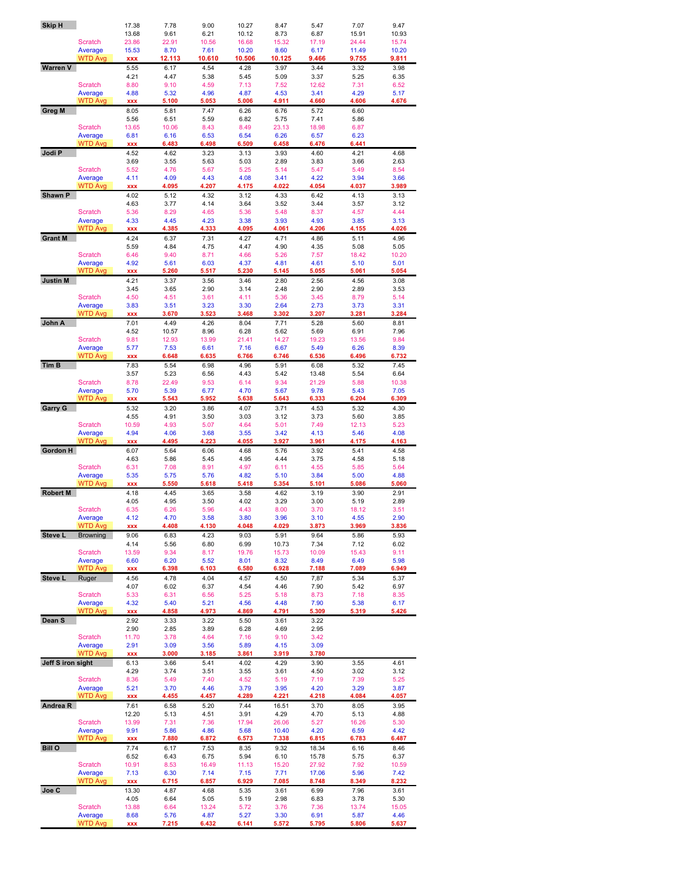| <b>Skip H</b>     |                           | 17.38         | 7.78          | 9.00          | 10.27         | 8.47          | 5.47          | 7.07          | 9.47          |
|-------------------|---------------------------|---------------|---------------|---------------|---------------|---------------|---------------|---------------|---------------|
|                   |                           | 13.68         | 9.61          | 6.21          | 10.12         | 8.73          | 6.87          | 15.91         | 10.93         |
|                   | Scratch                   | 23.86         | 22.91         | 10.56         | 16.68         | 15.32         | 17.19         | 24.44         | 15.74         |
|                   | Average                   | 15.53         | 8.70          | 7.61          | 10.20         | 8.60          | 6.17          | 11.49         | 10.20         |
|                   | <b>WTD Avg</b>            | <b>XXX</b>    | 12.113        | 10.610        | 10.506        | 10.125        | 9.466         | 9.755         | 9.811         |
| <b>Warren V</b>   |                           | 5.55          | 6.17          | 4.54          | 4.28          | 3.97          | 3.44          | 3.32          | 3.98          |
|                   |                           | 4.21          | 4.47          | 5.38          | 5.45          | 5.09          | 3.37          | 5.25          | 6.35          |
|                   | <b>Scratch</b>            | 8.80          | 9.10          | 4.59          | 7.13          | 7.52          | 12.62         | 7.31          | 6.52          |
|                   | Average                   | 4.88          | 5.32          | 4.96          | 4.87          | 4.53          | 3.41          | 4.29          | 5.17          |
|                   | <b>WTD Avg</b>            | <b>XXX</b>    | 5.100         | 5.053         | 5.006         | 4.911         | 4.660         | 4.606         | 4.676         |
| <b>Greg M</b>     |                           | 8.05          | 5.81          | 7.47          | 6.26          | 6.76          | 5.72          | 6.60          |               |
|                   |                           | 5.56          | 6.51          | 5.59          | 6.82          | 5.75          | 7.41          | 5.86          |               |
|                   | <b>Scratch</b>            | 13.65         | 10.06         | 8.43          | 8.49          | 23.13         | 18.98         | 6.87          |               |
|                   | Average                   | 6.81          | 6.16          | 6.53          | 6.54          | 6.26          | 6.57          | 6.23          |               |
|                   | <b>WTD Avg</b>            | <b>XXX</b>    | 6.483         | 6.498         | 6.509         | 6.458         | 6.476         | 6.441         |               |
| Jodi P            |                           | 4.52          | 4.62          | 3.23          | 3.13          | 3.93          | 4.60          | 4.21          | 4.68          |
|                   |                           | 3.69          | 3.55          | 5.63          | 5.03          | 2.89          | 3.83          | 3.66          | 2.63          |
|                   | Scratch                   | 5.52          | 4.76          | 5.67          | 5.25          | 5.14          | 5.47          | 5.49          | 8.54          |
|                   | Average<br><b>WTD Avg</b> | 4.11          | 4.09<br>4.095 | 4.43<br>4.207 | 4.08<br>4.175 | 3.41<br>4.022 | 4.22<br>4.054 | 3.94<br>4.037 | 3.66<br>3.989 |
| Shawn P           |                           | <b>XXX</b>    |               |               |               |               |               |               |               |
|                   |                           | 4.02          | 5.12          | 4.32          | 3.12          | 4.33          | 6.42          | 4.13          | 3.13          |
|                   | Scratch                   | 4.63<br>5.36  | 3.77          | 4.14<br>4.65  | 3.64<br>5.36  | 3.52<br>5.48  | 3.44          | 3.57<br>4.57  | 3.12<br>4.44  |
|                   |                           | 4.33          | 8.29<br>4.45  | 4.23          | 3.38          | 3.93          | 8.37<br>4.93  | 3.85          | 3.13          |
|                   | Average<br><b>WTD Avg</b> | <b>XXX</b>    | 4.385         | 4.333         | 4.095         | 4.061         | 4.206         | 4.155         | 4.026         |
| <b>Grant M</b>    |                           | 4.24          | 6.37          | 7.31          | 4.27          | 4.71          | 4.86          | 5.11          | 4.96          |
|                   |                           | 5.59          | 4.84          | 4.75          | 4.47          | 4.90          | 4.35          | 5.08          | 5.05          |
|                   | <b>Scratch</b>            | 6.46          | 9.40          | 8.71          | 4.66          | 5.26          | 7.57          | 18.42         | 10.20         |
|                   | Average                   | 4.92          | 5.61          | 6.03          | 4.37          | 4.81          | 4.61          | 5.10          | 5.01          |
|                   | <b>WTD Avg</b>            | <b>XXX</b>    | 5.260         | 5.517         | 5.230         | 5.145         | 5.055         | 5.061         | 5.054         |
| <b>Justin M</b>   |                           | 4.21          | 3.37          | 3.56          | 3.46          | 2.80          | 2.56          | 4.56          | 3.08          |
|                   |                           | 3.45          | 3.65          | 2.90          | 3.14          | 2.48          | 2.90          | 2.89          | 3.53          |
|                   | Scratch                   | 4.50          | 4.51          | 3.61          | 4.11          | 5.36          | 3.45          | 8.79          | 5.14          |
|                   | Average                   | 3.83          | 3.51          | 3.23          | 3.30          | 2.64          | 2.73          | 3.73          | 3.31          |
|                   | <b>WTD Avg</b>            | <b>XXX</b>    | 3.670         | 3.523         | 3.468         | 3.302         | 3.207         | 3.281         | 3.284         |
| John A            |                           | 7.01          | 4.49          | 4.26          | 8.04          | 7.71          | 5.28          | 5.60          | 8.81          |
|                   |                           | 4.52          | 10.57         | 8.96          | 6.28          | 5.62          | 5.69          | 6.91          | 7.96          |
|                   | <b>Scratch</b>            | 9.81          | 12.93         | 13.99         | 21.41         | 14.27         | 19.23         | 13.56         | 9.84          |
|                   | Average                   | 5.77          | 7.53          | 6.61          | 7.16          | 6.67          | 5.49          | 6.26          | 8.39          |
|                   | WTD Avg                   | <b>XXX</b>    | 6.648         | 6.635         | 6.766         | 6.746         | 6.536         | 6.496         | 6.732         |
| <b>Tim B</b>      |                           | 7.83          | 5.54          | 6.98          | 4.96          | 5.91          | 6.08          | 5.32          | 7.45          |
|                   |                           | 3.57          | 5.23          | 6.56          | 4.43          | 5.42          | 13.48         | 5.54          | 6.64          |
|                   | Scratch                   | 8.78          | 22.49         | 9.53          | 6.14          | 9.34          | 21.29         | 5.88          | 10.38         |
|                   | Average                   | 5.70          | 5.39          | 6.77          | 4.70          | 5.67          | 9.78          | 5.43          | 7.05          |
|                   | <b>WTD Avg</b>            | <b>XXX</b>    | 5.543         | 5.952         | 5.638         | 5.643         | 6.333         | 6.204         | 6.309         |
| Garry G           |                           | 5.32          | 3.20          | 3.86          | 4.07          | 3.71          | 4.53          | 5.32          | 4.30          |
|                   |                           | 4.55          | 4.91          | 3.50          | 3.03          | 3.12          | 3.73          | 5.60          | 3.85          |
|                   | Scratch                   | 10.59         | 4.93          | 5.07          | 4.64          | 5.01          | 7.49          | 12.13         | 5.23          |
|                   | Average                   | 4.94          | 4.06          | 3.68          | 3.55          | 3.42          | 4.13          | 5.46          | 4.08          |
|                   | <b>WTD Avg</b>            | <b>XXX</b>    | 4.495         | 4.223         | 4.055         | 3.927         | 3.961         | 4.175         | 4.163         |
| Gordon H          |                           | 6.07          | 5.64          | 6.06          | 4.68          | 5.76          | 3.92          | 5.41          | 4.58          |
|                   |                           | 4.63          | 5.86          | 5.45          | 4.95          | 4.44          | 3.75          | 4.58          | 5.18          |
|                   | <b>Scratch</b>            | 6.31          | 7.08          | 8.91          | 4.97          | 6.11          | 4.55          | 5.85          | 5.64          |
|                   | Average                   | 5.35          | 5.75          | 5.76          | 4.82          | 5.10          | 3.84          | 5.00          | 4.88          |
|                   | <b>WTD Avg</b>            | <b>XXX</b>    | 5.550         | 5.618         | 5.418         | 5.354         | 5.101         | 5.086         | 5.060         |
| <b>Robert M</b>   |                           | 4.18          | 4.45          | 3.65          | 3.58          | 4.62          | 3.19          | 3.90          | 2.91          |
|                   |                           | 4.05          | 4.95          | 3.50          | 4.02          | 3.29          | 3.00          | 5.19          | 2.89          |
|                   | <b>Scratch</b>            | 6.35          | 6.26          | 5.96          | 4.43          | 8.00          | 3.70          | 18.12         | 3.51          |
|                   | Average                   | 4.12          | 4.70          | 3.58          | 3.80          | 3.96          | 3.10          | 4.55          | 2.90          |
|                   | <b>WTD Avg</b>            | <b>XXX</b>    | 4.408         | 4.130         | 4.048         | 4.029         | 3.873         | 3.969         | 3.836         |
| Steve L           | <b>Browning</b>           | 9.06          | 6.83          | 4.23          | 9.03          | 5.91          | 9.64          | 5.86          | 5.93          |
|                   |                           | 4.14          | 5.56          | 6.80          | 6.99          | 10.73         | 7.34          | 7.12          | 6.02          |
|                   | Scratch<br>Average        | 13.59<br>6.60 | 9.34          | 8.17<br>5.52  | 19.76<br>8.01 | 15.73         | 10.09<br>8.49 | 15.43<br>6.49 | 9.11<br>5.98  |
|                   | <b>WTD Avg</b>            | <b>XXX</b>    | 6.20<br>6.398 | 6.103         | 6.580         | 8.32<br>6.928 | 7.188         | 7.089         | 6.949         |
| Steve L           | Ruger                     | 4.56          | 4.78          | 4.04          | 4.57          | 4.50          | 7,87          | 5.34          | 5.37          |
|                   |                           | 4.07          | 6.02          | 6.37          | 4.54          | 4.46          | 7.90          | 5.42          | 6.97          |
|                   | Scratch                   | 5.33          | 6.31          | 6.56          | 5.25          | 5.18          | 8.73          | 7.18          | 8.35          |
|                   | Average                   | 4.32          | 5.40          | 5.21          | 4.56          | 4.48          | 7.90          | 5.38          | 6.17          |
|                   | <b>WTD Avg</b>            | <b>XXX</b>    | 4.858         | 4.973         | 4.869         | 4.791         | 5.309         | 5.319         | 5.426         |
| Dean S            |                           | 2.92          | 3.33          | 3.22          | 5.50          | 3.61          | 3.22          |               |               |
|                   |                           | 2.90          | 2.85          | 3.89          | 6.28          | 4.69          | 2.95          |               |               |
|                   | Scratch                   | 11.70         | 3.78          | 4.64          | 7.16          | 9.10          | 3.42          |               |               |
|                   | Average                   | 2.91          | 3.09          | 3.56          | 5.89          | 4.15          | 3.09          |               |               |
|                   | <b>WTD Avg</b>            | <b>XXX</b>    | 3.000         | 3.185         | 3.861         | 3.919         | 3.780         |               |               |
| Jeff S iron sight |                           | 6.13          | 3.66          | 5.41          | 4.02          | 4.29          | 3.90          | 3.55          | 4.61          |
|                   |                           | 4.29          | 3.74          | 3.51          | 3.55          | 3.61          | 4.50          | 3.02          | 3.12          |
|                   | Scratch                   | 8.36          | 5.49          | 7.40          | 4.52          | 5.19          | 7.19          | 7.39          | 5.25          |
|                   | Average                   | 5.21          | 3.70          | 4.46          | 3.79          | 3.95          | 4.20          | 3.29          | 3.87          |
|                   | <b>WTD Avg</b>            | xxx           | 4.455         | 4.457         | 4.289         | 4.221         | 4.218         | 4.084         | 4.057         |
| Andrea R          |                           | 7.61          | 6.58          | 5.20          | 7.44          | 16.51         | 3.70          | 8.05          | 3.95          |
|                   |                           | 12.20         | 5.13          | 4.51          | 3.91          | 4.29          | 4.70          | 5.13          | 4.88          |
|                   | Scratch                   | 13.99         | 7.31          | 7.36          | 17.94         | 26.06         | 5.27          | 16.26         | 5.30          |
|                   | Average                   | 9.91          | 5.86          | 4.86          | 5.68          | 10.40         | 4.20          | 6.59          | 4.42          |
|                   | <b>WTD Avg</b>            | <b>XXX</b>    | 7.880         | 6.872         | 6.573         | 7.338         | 6.815         | 6.783         | 6.487         |
| <b>Bill O</b>     |                           | 7.74          | 6.17          | 7.53          | 8.35          | 9.32          | 18.34         | 6.16          | 8.46          |
|                   |                           | 6.52          | 6.43          | 6.75          | 5.94          | 6.10          | 15.78         | 5.75          | 6.37          |
|                   | Scratch                   | 10.91         | 8.53          | 16.49         | 11.13         | 15.20         | 27.92         | 7.92          | 10.59         |
|                   | Average                   | 7.13          | 6.30          | 7.14          | 7.15          | 7.71          | 17.06         | 5.96          | 7.42          |
|                   | <b>WTD Avg</b>            | XXX           | 6.715         | 6.857         | 6.929         | 7.085         | 8.748         | 8.349         | 8.232         |
| Joe C             |                           | 13.30         | 4.87          | 4.68          | 5.35          | 3.61          | 6.99          | 7.96          | 3.61          |
|                   |                           | 4.05          | 6.64          | 5.05          | 5.19          | 2.98          | 6.83          | 3.78          | 5.30          |
|                   | Scratch                   | 13.88         | 6.64          | 13.24         | 5.72          | 3.76          | 7.36          | 13.74         | 15.05         |
|                   | Average                   | 8.68          | 5.76          | 4.87          | 5.27          | 3.30          | 6.91          | 5.87          | 4.46          |
|                   | <b>WTD Avg</b>            | <b>XXX</b>    | 7.215         | 6.432         | 6.141         | 5.572         | 5.795         | 5.806         | 5.637         |